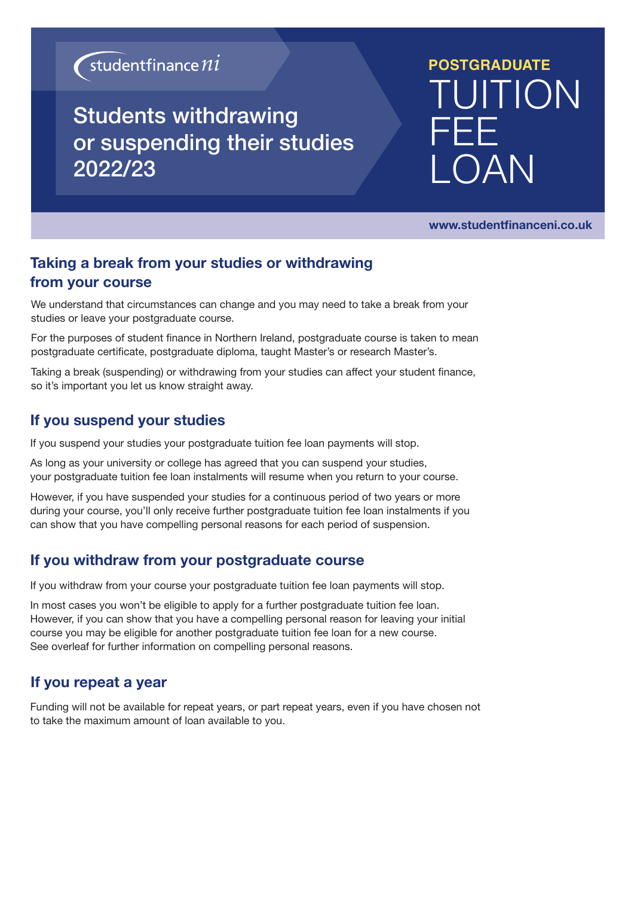## $\sqrt{\frac{1}{2}}$ studentfinance  $ni$

### Students withdrawing or suspending their studies 2022/23

# **POSTGRADUATE** TUITION FEE **COAN**

www.studentfinanceni.co.uk

### Taking a break from your studies or withdrawing from your course

We understand that circumstances can change and you may need to take a break from your studies or leave your postgraduate course.

For the purposes of student finance in Northern Ireland, postgraduate course is taken to mean postgraduate certificate, postgraduate diploma, taught Master's or research Master's.

Taking a break (suspending) or withdrawing from your studies can affect your student finance, so it's important you let us know straight away.

#### If you suspend your studies

If you suspend your studies your postgraduate tuition fee loan payments will stop.

As long as your university or college has agreed that you can suspend your studies, your postgraduate tuition fee loan instalments will resume when you return to your course.

However, if you have suspended your studies for a continuous period of two years or more during your course, you'll only receive further postgraduate tuition fee loan instalments if you can show that you have compelling personal reasons for each period of suspension.

### If you withdraw from your postgraduate course

If you withdraw from your course your postgraduate tuition fee loan payments will stop.

In most cases you won't be eligible to apply for a further postgraduate tuition fee loan. However, if you can show that you have a compelling personal reason for leaving your initial course you may be eligible for another postgraduate tuition fee loan for a new course. See overleaf for further information on compelling personal reasons.

### If you repeat a year

Funding will not be available for repeat years, or part repeat years, even if you have chosen not to take the maximum amount of loan available to you.